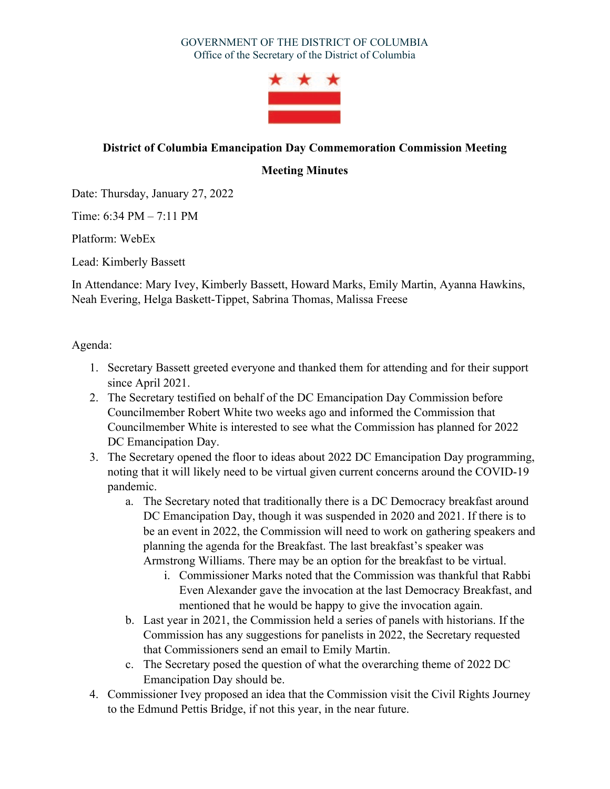

## **District of Columbia Emancipation Day Commemoration Commission Meeting**

## **Meeting Minutes**

Date: Thursday, January 27, 2022

Time: 6:34 PM – 7:11 PM

Platform: WebEx

Lead: Kimberly Bassett

In Attendance: Mary Ivey, Kimberly Bassett, Howard Marks, Emily Martin, Ayanna Hawkins, Neah Evering, Helga Baskett-Tippet, Sabrina Thomas, Malissa Freese

Agenda:

- 1. Secretary Bassett greeted everyone and thanked them for attending and for their support since April 2021.
- 2. The Secretary testified on behalf of the DC Emancipation Day Commission before Councilmember Robert White two weeks ago and informed the Commission that Councilmember White is interested to see what the Commission has planned for 2022 DC Emancipation Day.
- 3. The Secretary opened the floor to ideas about 2022 DC Emancipation Day programming, noting that it will likely need to be virtual given current concerns around the COVID-19 pandemic.
	- a. The Secretary noted that traditionally there is a DC Democracy breakfast around DC Emancipation Day, though it was suspended in 2020 and 2021. If there is to be an event in 2022, the Commission will need to work on gathering speakers and planning the agenda for the Breakfast. The last breakfast's speaker was Armstrong Williams. There may be an option for the breakfast to be virtual.
		- i. Commissioner Marks noted that the Commission was thankful that Rabbi Even Alexander gave the invocation at the last Democracy Breakfast, and mentioned that he would be happy to give the invocation again.
	- b. Last year in 2021, the Commission held a series of panels with historians. If the Commission has any suggestions for panelists in 2022, the Secretary requested that Commissioners send an email to Emily Martin.
	- c. The Secretary posed the question of what the overarching theme of 2022 DC Emancipation Day should be.
- 4. Commissioner Ivey proposed an idea that the Commission visit the Civil Rights Journey to the Edmund Pettis Bridge, if not this year, in the near future.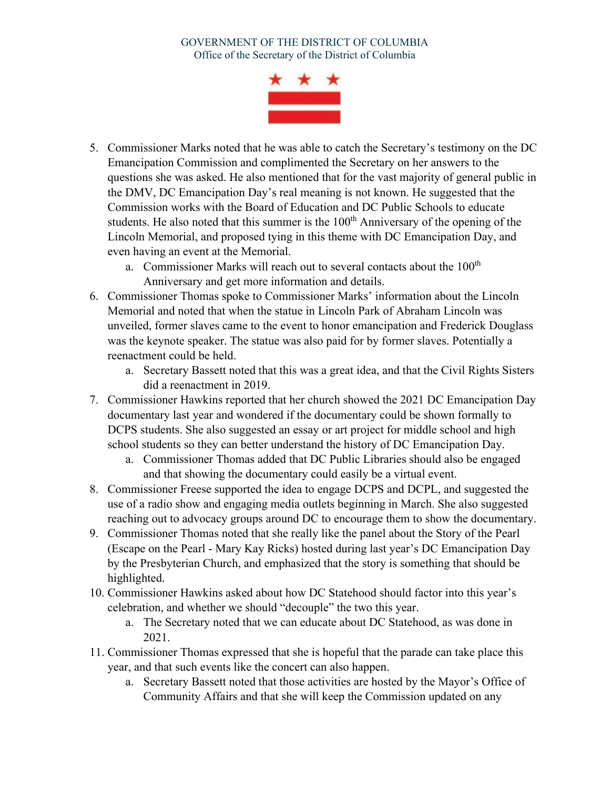

- 5. Commissioner Marks noted that he was able to catch the Secretary's testimony on the DC Emancipation Commission and complimented the Secretary on her answers to the questions she was asked. He also mentioned that for the vast majority of general public in the DMV, DC Emancipation Day's real meaning is not known. He suggested that the Commission works with the Board of Education and DC Public Schools to educate students. He also noted that this summer is the 100<sup>th</sup> Anniversary of the opening of the Lincoln Memorial, and proposed tying in this theme with DC Emancipation Day, and even having an event at the Memorial.
	- a. Commissioner Marks will reach out to several contacts about the 100<sup>th</sup> Anniversary and get more information and details.
- 6. Commissioner Thomas spoke to Commissioner Marks' information about the Lincoln Memorial and noted that when the statue in Lincoln Park of Abraham Lincoln was unveiled, former slaves came to the event to honor emancipation and Frederick Douglass was the keynote speaker. The statue was also paid for by former slaves. Potentially a reenactment could be held.
	- a. Secretary Bassett noted that this was a great idea, and that the Civil Rights Sisters did a reenactment in 2019.
- 7. Commissioner Hawkins reported that her church showed the 2021 DC Emancipation Day documentary last year and wondered if the documentary could be shown formally to DCPS students. She also suggested an essay or art project for middle school and high school students so they can better understand the history of DC Emancipation Day.
	- a. Commissioner Thomas added that DC Public Libraries should also be engaged and that showing the documentary could easily be a virtual event.
- 8. Commissioner Freese supported the idea to engage DCPS and DCPL, and suggested the use of a radio show and engaging media outlets beginning in March. She also suggested reaching out to advocacy groups around DC to encourage them to show the documentary.
- 9. Commissioner Thomas noted that she really like the panel about the Story of the Pearl (Escape on the Pearl - Mary Kay Ricks) hosted during last year's DC Emancipation Day by the Presbyterian Church, and emphasized that the story is something that should be highlighted.
- 10. Commissioner Hawkins asked about how DC Statehood should factor into this year's celebration, and whether we should "decouple" the two this year.
	- a. The Secretary noted that we can educate about DC Statehood, as was done in 2021.
- 11. Commissioner Thomas expressed that she is hopeful that the parade can take place this year, and that such events like the concert can also happen.
	- a. Secretary Bassett noted that those activities are hosted by the Mayor's Office of Community Affairs and that she will keep the Commission updated on any